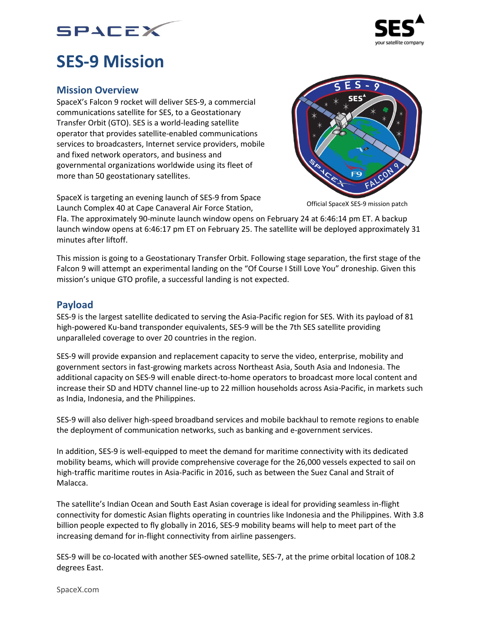



# **SES-9 Mission**

### **Mission Overview**

SpaceX's Falcon 9 rocket will deliver SES-9, a commercial communications satellite for SES, to a Geostationary Transfer Orbit (GTO). SES is a world-leading satellite operator that provides satellite-enabled communications services to broadcasters, Internet service providers, mobile and fixed network operators, and business and governmental organizations worldwide using its fleet of more than 50 geostationary satellites.



SpaceX is targeting an evening launch of SES-9 from Space Launch Complex 40 at Cape Canaveral Air Force Station,

Official SpaceX SES-9 mission patch

Fla. The approximately 90-minute launch window opens on February 24 at 6:46:14 pm ET. A backup launch window opens at 6:46:17 pm ET on February 25. The satellite will be deployed approximately 31 minutes after liftoff.

This mission is going to a Geostationary Transfer Orbit. Following stage separation, the first stage of the Falcon 9 will attempt an experimental landing on the "Of Course I Still Love You" droneship. Given this mission's unique GTO profile, a successful landing is not expected.

# **Payload**

SES-9 is the largest satellite dedicated to serving the Asia-Pacific region for SES. With its payload of 81 high-powered Ku-band transponder equivalents, SES-9 will be the 7th SES satellite providing unparalleled coverage to over 20 countries in the region.

SES-9 will provide expansion and replacement capacity to serve the video, enterprise, mobility and government sectors in fast-growing markets across Northeast Asia, South Asia and Indonesia. The additional capacity on SES-9 will enable direct-to-home operators to broadcast more local content and increase their SD and HDTV channel line-up to 22 million households across Asia-Pacific, in markets such as India, Indonesia, and the Philippines.

SES-9 will also deliver high-speed broadband services and mobile backhaul to remote regions to enable the deployment of communication networks, such as banking and e-government services.

In addition, SES-9 is well-equipped to meet the demand for maritime connectivity with its dedicated mobility beams, which will provide comprehensive coverage for the 26,000 vessels expected to sail on high-traffic maritime routes in Asia-Pacific in 2016, such as between the Suez Canal and Strait of Malacca.

The satellite's Indian Ocean and South East Asian coverage is ideal for providing seamless in-flight connectivity for domestic Asian flights operating in countries like Indonesia and the Philippines. With 3.8 billion people expected to fly globally in 2016, SES-9 mobility beams will help to meet part of the increasing demand for in-flight connectivity from airline passengers.

SES-9 will be co-located with another SES-owned satellite, SES-7, at the prime orbital location of 108.2 degrees East.